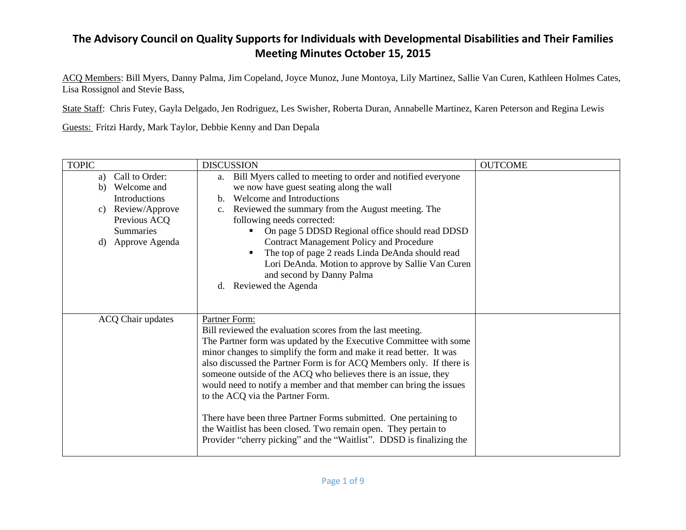ACQ Members: Bill Myers, Danny Palma, Jim Copeland, Joyce Munoz, June Montoya, Lily Martinez, Sallie Van Curen, Kathleen Holmes Cates, Lisa Rossignol and Stevie Bass,

State Staff: Chris Futey, Gayla Delgado, Jen Rodriguez, Les Swisher, Roberta Duran, Annabelle Martinez, Karen Peterson and Regina Lewis

Guests: Fritzi Hardy, Mark Taylor, Debbie Kenny and Dan Depala

| <b>TOPIC</b>                                                                                                                                | <b>DISCUSSION</b>                                                                                                                                                                                                                                                                                                                                                                                                                                                                                                                                                                                                                                                                         | <b>OUTCOME</b> |
|---------------------------------------------------------------------------------------------------------------------------------------------|-------------------------------------------------------------------------------------------------------------------------------------------------------------------------------------------------------------------------------------------------------------------------------------------------------------------------------------------------------------------------------------------------------------------------------------------------------------------------------------------------------------------------------------------------------------------------------------------------------------------------------------------------------------------------------------------|----------------|
| Call to Order:<br>a)<br>Welcome and<br>b)<br>Introductions<br>Review/Approve<br>C)<br>Previous ACQ<br><b>Summaries</b><br>d) Approve Agenda | Bill Myers called to meeting to order and notified everyone<br>a.<br>we now have guest seating along the wall<br>Welcome and Introductions<br>$\mathbf{b}$ .<br>Reviewed the summary from the August meeting. The<br>$c_{\cdot}$<br>following needs corrected:<br>On page 5 DDSD Regional office should read DDSD<br><b>Contract Management Policy and Procedure</b><br>The top of page 2 reads Linda DeAnda should read<br>Lori DeAnda. Motion to approve by Sallie Van Curen<br>and second by Danny Palma<br>Reviewed the Agenda<br>d.                                                                                                                                                  |                |
| <b>ACQ Chair updates</b>                                                                                                                    | Partner Form:<br>Bill reviewed the evaluation scores from the last meeting.<br>The Partner form was updated by the Executive Committee with some<br>minor changes to simplify the form and make it read better. It was<br>also discussed the Partner Form is for ACQ Members only. If there is<br>someone outside of the ACQ who believes there is an issue, they<br>would need to notify a member and that member can bring the issues<br>to the ACQ via the Partner Form.<br>There have been three Partner Forms submitted. One pertaining to<br>the Waitlist has been closed. Two remain open. They pertain to<br>Provider "cherry picking" and the "Waitlist". DDSD is finalizing the |                |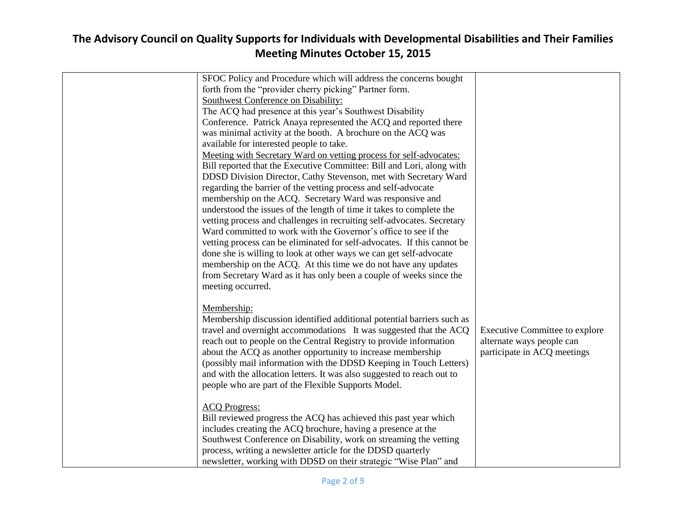| SFOC Policy and Procedure which will address the concerns bought        |                                       |
|-------------------------------------------------------------------------|---------------------------------------|
| forth from the "provider cherry picking" Partner form.                  |                                       |
| Southwest Conference on Disability:                                     |                                       |
| The ACQ had presence at this year's Southwest Disability                |                                       |
| Conference. Patrick Anaya represented the ACQ and reported there        |                                       |
| was minimal activity at the booth. A brochure on the ACQ was            |                                       |
| available for interested people to take.                                |                                       |
| Meeting with Secretary Ward on vetting process for self-advocates:      |                                       |
| Bill reported that the Executive Committee: Bill and Lori, along with   |                                       |
| DDSD Division Director, Cathy Stevenson, met with Secretary Ward        |                                       |
| regarding the barrier of the vetting process and self-advocate          |                                       |
| membership on the ACQ. Secretary Ward was responsive and                |                                       |
| understood the issues of the length of time it takes to complete the    |                                       |
| vetting process and challenges in recruiting self-advocates. Secretary  |                                       |
| Ward committed to work with the Governor's office to see if the         |                                       |
| vetting process can be eliminated for self-advocates. If this cannot be |                                       |
| done she is willing to look at other ways we can get self-advocate      |                                       |
| membership on the ACQ. At this time we do not have any updates          |                                       |
| from Secretary Ward as it has only been a couple of weeks since the     |                                       |
| meeting occurred.                                                       |                                       |
|                                                                         |                                       |
| Membership:                                                             |                                       |
| Membership discussion identified additional potential barriers such as  |                                       |
| travel and overnight accommodations It was suggested that the ACQ       | <b>Executive Committee to explore</b> |
| reach out to people on the Central Registry to provide information      | alternate ways people can             |
| about the ACQ as another opportunity to increase membership             | participate in ACQ meetings           |
| (possibly mail information with the DDSD Keeping in Touch Letters)      |                                       |
| and with the allocation letters. It was also suggested to reach out to  |                                       |
| people who are part of the Flexible Supports Model.                     |                                       |
|                                                                         |                                       |
| <b>ACQ Progress:</b>                                                    |                                       |
| Bill reviewed progress the ACQ has achieved this past year which        |                                       |
| includes creating the ACQ brochure, having a presence at the            |                                       |
| Southwest Conference on Disability, work on streaming the vetting       |                                       |
| process, writing a newsletter article for the DDSD quarterly            |                                       |
| newsletter, working with DDSD on their strategic "Wise Plan" and        |                                       |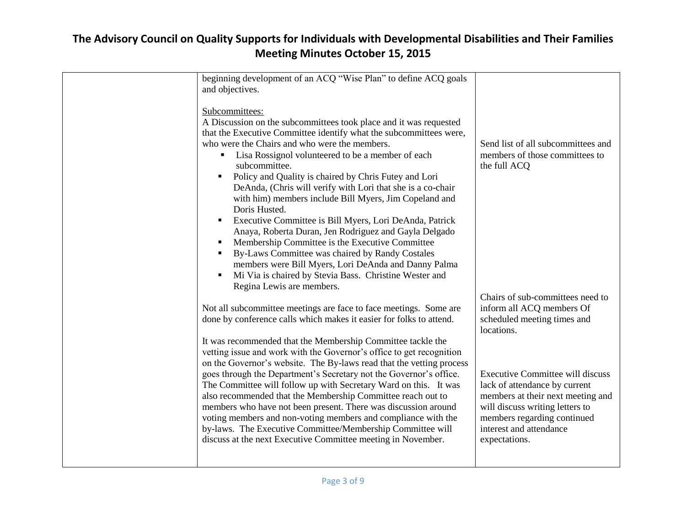| beginning development of an ACQ "Wise Plan" to define ACQ goals                                                                            |                                                        |
|--------------------------------------------------------------------------------------------------------------------------------------------|--------------------------------------------------------|
|                                                                                                                                            |                                                        |
| and objectives.                                                                                                                            |                                                        |
| Subcommittees:                                                                                                                             |                                                        |
| A Discussion on the subcommittees took place and it was requested                                                                          |                                                        |
| that the Executive Committee identify what the subcommittees were,                                                                         |                                                        |
| who were the Chairs and who were the members.                                                                                              | Send list of all subcommittees and                     |
| Lisa Rossignol volunteered to be a member of each<br>٠                                                                                     | members of those committees to                         |
| subcommittee.                                                                                                                              | the full ACQ                                           |
| Policy and Quality is chaired by Chris Futey and Lori                                                                                      |                                                        |
| DeAnda, (Chris will verify with Lori that she is a co-chair                                                                                |                                                        |
| with him) members include Bill Myers, Jim Copeland and                                                                                     |                                                        |
| Doris Husted.                                                                                                                              |                                                        |
| Executive Committee is Bill Myers, Lori DeAnda, Patrick                                                                                    |                                                        |
| Anaya, Roberta Duran, Jen Rodriguez and Gayla Delgado                                                                                      |                                                        |
| Membership Committee is the Executive Committee                                                                                            |                                                        |
| By-Laws Committee was chaired by Randy Costales                                                                                            |                                                        |
| members were Bill Myers, Lori DeAnda and Danny Palma                                                                                       |                                                        |
| Mi Via is chaired by Stevia Bass. Christine Wester and<br>$\blacksquare$                                                                   |                                                        |
| Regina Lewis are members.                                                                                                                  |                                                        |
|                                                                                                                                            | Chairs of sub-committees need to                       |
| Not all subcommittee meetings are face to face meetings. Some are                                                                          | inform all ACQ members Of                              |
| done by conference calls which makes it easier for folks to attend.                                                                        | scheduled meeting times and                            |
|                                                                                                                                            | locations.                                             |
|                                                                                                                                            |                                                        |
| It was recommended that the Membership Committee tackle the<br>vetting issue and work with the Governor's office to get recognition        |                                                        |
|                                                                                                                                            |                                                        |
| on the Governor's website. The By-laws read that the vetting process<br>goes through the Department's Secretary not the Governor's office. | <b>Executive Committee will discuss</b>                |
| The Committee will follow up with Secretary Ward on this. It was                                                                           | lack of attendance by current                          |
|                                                                                                                                            |                                                        |
| also recommended that the Membership Committee reach out to                                                                                | members at their next meeting and                      |
| members who have not been present. There was discussion around                                                                             | will discuss writing letters to                        |
| voting members and non-voting members and compliance with the                                                                              | members regarding continued<br>interest and attendance |
| by-laws. The Executive Committee/Membership Committee will                                                                                 |                                                        |
| discuss at the next Executive Committee meeting in November.                                                                               | expectations.                                          |
|                                                                                                                                            |                                                        |
|                                                                                                                                            |                                                        |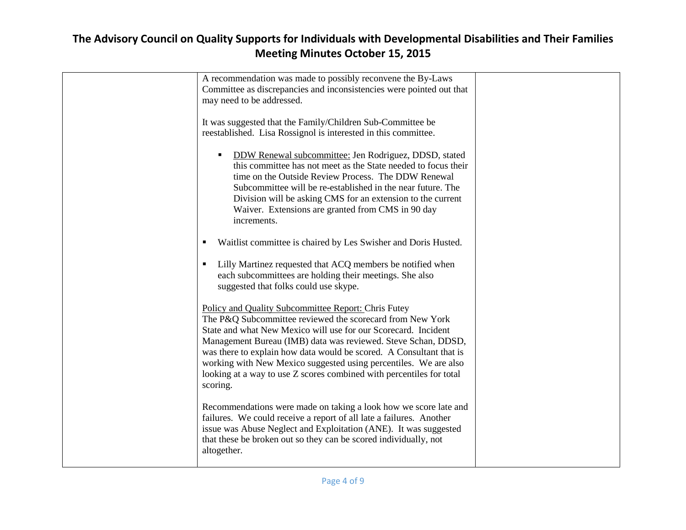| A recommendation was made to possibly reconvene the By-Laws          |  |
|----------------------------------------------------------------------|--|
| Committee as discrepancies and inconsistencies were pointed out that |  |
| may need to be addressed.                                            |  |
|                                                                      |  |
| It was suggested that the Family/Children Sub-Committee be           |  |
| reestablished. Lisa Rossignol is interested in this committee.       |  |
|                                                                      |  |
|                                                                      |  |
| DDW Renewal subcommittee: Jen Rodriguez, DDSD, stated                |  |
| this committee has not meet as the State needed to focus their       |  |
| time on the Outside Review Process. The DDW Renewal                  |  |
| Subcommittee will be re-established in the near future. The          |  |
| Division will be asking CMS for an extension to the current          |  |
| Waiver. Extensions are granted from CMS in 90 day                    |  |
| increments.                                                          |  |
|                                                                      |  |
| Waitlist committee is chaired by Les Swisher and Doris Husted.<br>٠  |  |
|                                                                      |  |
|                                                                      |  |
| Lilly Martinez requested that ACQ members be notified when           |  |
| each subcommittees are holding their meetings. She also              |  |
| suggested that folks could use skype.                                |  |
|                                                                      |  |
| Policy and Quality Subcommittee Report: Chris Futey                  |  |
| The P&Q Subcommittee reviewed the scorecard from New York            |  |
| State and what New Mexico will use for our Scorecard. Incident       |  |
| Management Bureau (IMB) data was reviewed. Steve Schan, DDSD,        |  |
| was there to explain how data would be scored. A Consultant that is  |  |
| working with New Mexico suggested using percentiles. We are also     |  |
| looking at a way to use Z scores combined with percentiles for total |  |
| scoring.                                                             |  |
|                                                                      |  |
|                                                                      |  |
| Recommendations were made on taking a look how we score late and     |  |
| failures. We could receive a report of all late a failures. Another  |  |
| issue was Abuse Neglect and Exploitation (ANE). It was suggested     |  |
| that these be broken out so they can be scored individually, not     |  |
| altogether.                                                          |  |
|                                                                      |  |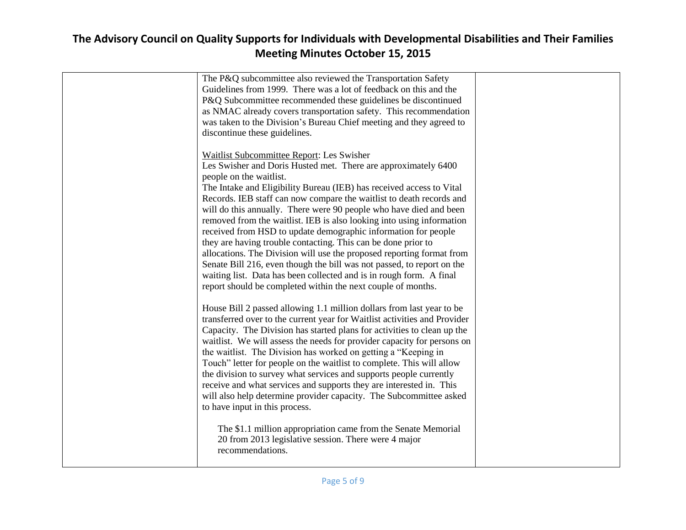| The P&Q subcommittee also reviewed the Transportation Safety<br>Guidelines from 1999. There was a lot of feedback on this and the<br>P&Q Subcommittee recommended these guidelines be discontinued<br>as NMAC already covers transportation safety. This recommendation<br>was taken to the Division's Bureau Chief meeting and they agreed to<br>discontinue these guidelines.                                                                                                                                                                                                                                                                                                                                                                                                                                                                                    |  |
|--------------------------------------------------------------------------------------------------------------------------------------------------------------------------------------------------------------------------------------------------------------------------------------------------------------------------------------------------------------------------------------------------------------------------------------------------------------------------------------------------------------------------------------------------------------------------------------------------------------------------------------------------------------------------------------------------------------------------------------------------------------------------------------------------------------------------------------------------------------------|--|
| Waitlist Subcommittee Report: Les Swisher<br>Les Swisher and Doris Husted met. There are approximately 6400<br>people on the waitlist.<br>The Intake and Eligibility Bureau (IEB) has received access to Vital<br>Records. IEB staff can now compare the waitlist to death records and<br>will do this annually. There were 90 people who have died and been<br>removed from the waitlist. IEB is also looking into using information<br>received from HSD to update demographic information for people<br>they are having trouble contacting. This can be done prior to<br>allocations. The Division will use the proposed reporting format from<br>Senate Bill 216, even though the bill was not passed, to report on the<br>waiting list. Data has been collected and is in rough form. A final<br>report should be completed within the next couple of months. |  |
| House Bill 2 passed allowing 1.1 million dollars from last year to be<br>transferred over to the current year for Waitlist activities and Provider<br>Capacity. The Division has started plans for activities to clean up the<br>waitlist. We will assess the needs for provider capacity for persons on<br>the waitlist. The Division has worked on getting a "Keeping in<br>Touch" letter for people on the waitlist to complete. This will allow<br>the division to survey what services and supports people currently<br>receive and what services and supports they are interested in. This<br>will also help determine provider capacity. The Subcommittee asked<br>to have input in this process.                                                                                                                                                           |  |
| The \$1.1 million appropriation came from the Senate Memorial<br>20 from 2013 legislative session. There were 4 major<br>recommendations.                                                                                                                                                                                                                                                                                                                                                                                                                                                                                                                                                                                                                                                                                                                          |  |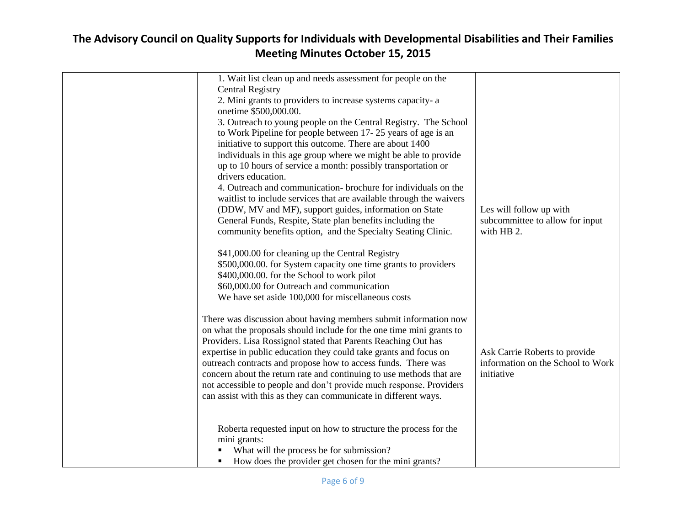| 1. Wait list clean up and needs assessment for people on the                           |                                   |
|----------------------------------------------------------------------------------------|-----------------------------------|
| <b>Central Registry</b><br>2. Mini grants to providers to increase systems capacity- a |                                   |
| onetime \$500,000.00.                                                                  |                                   |
| 3. Outreach to young people on the Central Registry. The School                        |                                   |
| to Work Pipeline for people between 17-25 years of age is an                           |                                   |
| initiative to support this outcome. There are about 1400                               |                                   |
| individuals in this age group where we might be able to provide                        |                                   |
| up to 10 hours of service a month: possibly transportation or<br>drivers education.    |                                   |
| 4. Outreach and communication- brochure for individuals on the                         |                                   |
| waitlist to include services that are available through the waivers                    |                                   |
| (DDW, MV and MF), support guides, information on State                                 | Les will follow up with           |
| General Funds, Respite, State plan benefits including the                              | subcommittee to allow for input   |
| community benefits option, and the Specialty Seating Clinic.                           | with HB 2.                        |
| \$41,000.00 for cleaning up the Central Registry                                       |                                   |
| \$500,000.00. for System capacity one time grants to providers                         |                                   |
| \$400,000.00. for the School to work pilot                                             |                                   |
| \$60,000.00 for Outreach and communication                                             |                                   |
| We have set aside 100,000 for miscellaneous costs                                      |                                   |
| There was discussion about having members submit information now                       |                                   |
| on what the proposals should include for the one time mini grants to                   |                                   |
| Providers. Lisa Rossignol stated that Parents Reaching Out has                         |                                   |
| expertise in public education they could take grants and focus on                      | Ask Carrie Roberts to provide     |
| outreach contracts and propose how to access funds. There was                          | information on the School to Work |
| concern about the return rate and continuing to use methods that are                   | initiative                        |
| not accessible to people and don't provide much response. Providers                    |                                   |
| can assist with this as they can communicate in different ways.                        |                                   |
|                                                                                        |                                   |
| Roberta requested input on how to structure the process for the                        |                                   |
| mini grants:                                                                           |                                   |
| What will the process be for submission?                                               |                                   |
| How does the provider get chosen for the mini grants?                                  |                                   |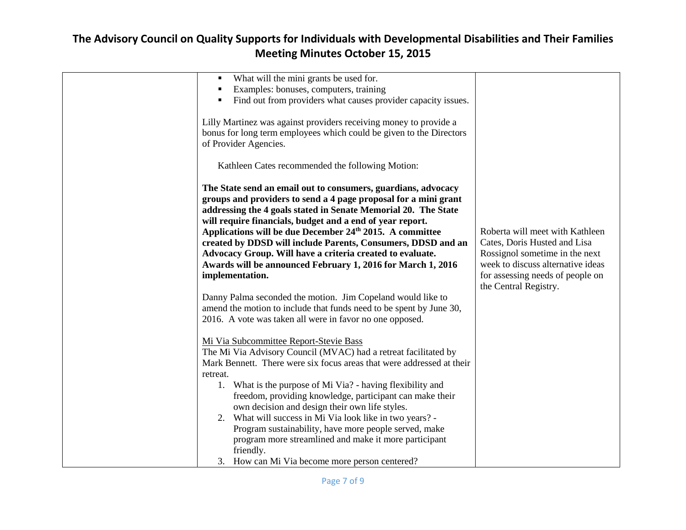| What will the mini grants be used for.<br>Examples: bonuses, computers, training<br>٠<br>Find out from providers what causes provider capacity issues.<br>$\blacksquare$                                                                                                                                                                                                                                                                                                                                                                                                                                                |                                                                                                                                                                                                     |
|-------------------------------------------------------------------------------------------------------------------------------------------------------------------------------------------------------------------------------------------------------------------------------------------------------------------------------------------------------------------------------------------------------------------------------------------------------------------------------------------------------------------------------------------------------------------------------------------------------------------------|-----------------------------------------------------------------------------------------------------------------------------------------------------------------------------------------------------|
| Lilly Martinez was against providers receiving money to provide a<br>bonus for long term employees which could be given to the Directors<br>of Provider Agencies.                                                                                                                                                                                                                                                                                                                                                                                                                                                       |                                                                                                                                                                                                     |
| Kathleen Cates recommended the following Motion:                                                                                                                                                                                                                                                                                                                                                                                                                                                                                                                                                                        |                                                                                                                                                                                                     |
| The State send an email out to consumers, guardians, advocacy<br>groups and providers to send a 4 page proposal for a mini grant<br>addressing the 4 goals stated in Senate Memorial 20. The State<br>will require financials, budget and a end of year report.<br>Applications will be due December 24th 2015. A committee<br>created by DDSD will include Parents, Consumers, DDSD and an<br>Advocacy Group. Will have a criteria created to evaluate.<br>Awards will be announced February 1, 2016 for March 1, 2016<br>implementation.                                                                              | Roberta will meet with Kathleen<br>Cates, Doris Husted and Lisa<br>Rossignol sometime in the next<br>week to discuss alternative ideas<br>for assessing needs of people on<br>the Central Registry. |
| Danny Palma seconded the motion. Jim Copeland would like to<br>amend the motion to include that funds need to be spent by June 30,<br>2016. A vote was taken all were in favor no one opposed.                                                                                                                                                                                                                                                                                                                                                                                                                          |                                                                                                                                                                                                     |
| Mi Via Subcommittee Report-Stevie Bass<br>The Mi Via Advisory Council (MVAC) had a retreat facilitated by<br>Mark Bennett. There were six focus areas that were addressed at their<br>retreat.<br>1. What is the purpose of Mi Via? - having flexibility and<br>freedom, providing knowledge, participant can make their<br>own decision and design their own life styles.<br>2. What will success in Mi Via look like in two years? -<br>Program sustainability, have more people served, make<br>program more streamlined and make it more participant<br>friendly.<br>3. How can Mi Via become more person centered? |                                                                                                                                                                                                     |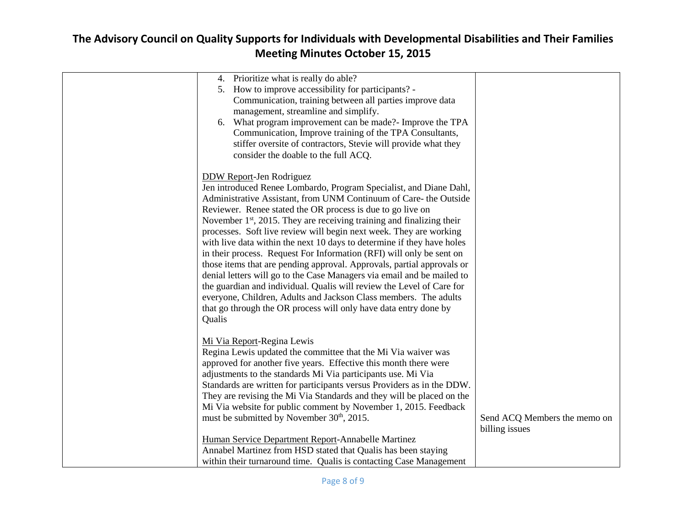| 4. Prioritize what is really do able?                                   |                              |
|-------------------------------------------------------------------------|------------------------------|
| 5. How to improve accessibility for participants? -                     |                              |
| Communication, training between all parties improve data                |                              |
| management, streamline and simplify.                                    |                              |
| 6. What program improvement can be made?- Improve the TPA               |                              |
| Communication, Improve training of the TPA Consultants,                 |                              |
| stiffer oversite of contractors, Stevie will provide what they          |                              |
| consider the doable to the full ACQ.                                    |                              |
|                                                                         |                              |
| <b>DDW Report-Jen Rodriguez</b>                                         |                              |
| Jen introduced Renee Lombardo, Program Specialist, and Diane Dahl,      |                              |
| Administrative Assistant, from UNM Continuum of Care- the Outside       |                              |
| Reviewer. Renee stated the OR process is due to go live on              |                              |
| November $1st$ , 2015. They are receiving training and finalizing their |                              |
| processes. Soft live review will begin next week. They are working      |                              |
| with live data within the next 10 days to determine if they have holes  |                              |
| in their process. Request For Information (RFI) will only be sent on    |                              |
| those items that are pending approval. Approvals, partial approvals or  |                              |
| denial letters will go to the Case Managers via email and be mailed to  |                              |
|                                                                         |                              |
| the guardian and individual. Qualis will review the Level of Care for   |                              |
| everyone, Children, Adults and Jackson Class members. The adults        |                              |
| that go through the OR process will only have data entry done by        |                              |
| Qualis                                                                  |                              |
|                                                                         |                              |
| Mi Via Report-Regina Lewis                                              |                              |
| Regina Lewis updated the committee that the Mi Via waiver was           |                              |
| approved for another five years. Effective this month there were        |                              |
| adjustments to the standards Mi Via participants use. Mi Via            |                              |
| Standards are written for participants versus Providers as in the DDW.  |                              |
| They are revising the Mi Via Standards and they will be placed on the   |                              |
| Mi Via website for public comment by November 1, 2015. Feedback         |                              |
| must be submitted by November 30 <sup>th</sup> , 2015.                  | Send ACQ Members the memo on |
|                                                                         | billing issues               |
| Human Service Department Report-Annabelle Martinez                      |                              |
| Annabel Martinez from HSD stated that Qualis has been staying           |                              |
| within their turnaround time. Qualis is contacting Case Management      |                              |